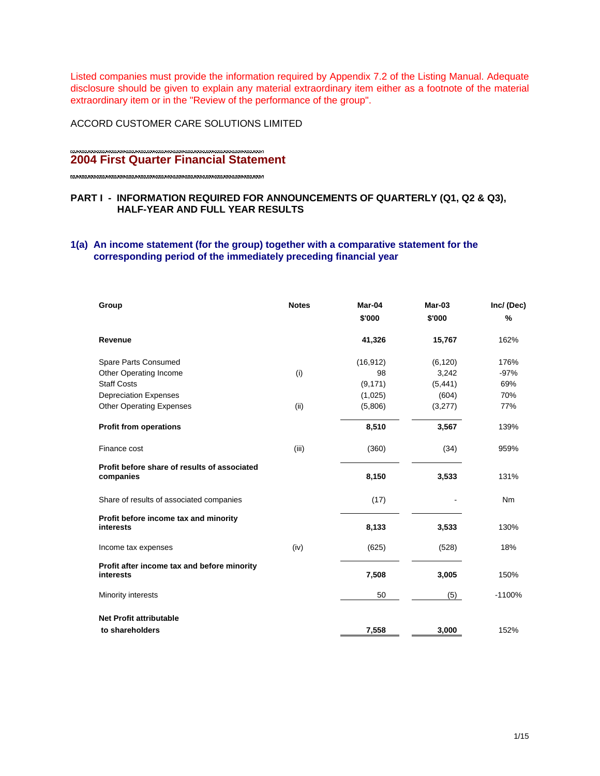Listed companies must provide the information required by Appendix 7.2 of the Listing Manual. Adequate disclosure should be given to explain any material extraordinary item either as a footnote of the material extraordinary item or in the "Review of the performance of the group".

ACCORD CUSTOMER CARE SOLUTIONS LIMITED

# **2004 First Quarter Financial Statement**

# **PART I - INFORMATION REQUIRED FOR ANNOUNCEMENTS OF QUARTERLY (Q1, Q2 & Q3), HALF-YEAR AND FULL YEAR RESULTS**

# **1(a) An income statement (for the group) together with a comparative statement for the corresponding period of the immediately preceding financial year**

| Group                                                     | <b>Notes</b> | Mar-04    | Mar-03   | Inc/(Dec) |
|-----------------------------------------------------------|--------------|-----------|----------|-----------|
|                                                           |              | \$'000    | \$'000   | %         |
| Revenue                                                   |              | 41,326    | 15,767   | 162%      |
| Spare Parts Consumed                                      |              | (16, 912) | (6, 120) | 176%      |
| Other Operating Income                                    | (i)          | 98        | 3,242    | $-97%$    |
| <b>Staff Costs</b>                                        |              | (9, 171)  | (5, 441) | 69%       |
| <b>Depreciation Expenses</b>                              |              | (1,025)   | (604)    | 70%       |
| <b>Other Operating Expenses</b>                           | (ii)         | (5,806)   | (3,277)  | 77%       |
| <b>Profit from operations</b>                             |              | 8,510     | 3,567    | 139%      |
| Finance cost                                              | (iii)        | (360)     | (34)     | 959%      |
| Profit before share of results of associated<br>companies |              | 8,150     | 3,533    | 131%      |
| Share of results of associated companies                  |              | (17)      |          | <b>Nm</b> |
| Profit before income tax and minority<br>interests        |              | 8,133     | 3,533    | 130%      |
| Income tax expenses                                       | (iv)         | (625)     | (528)    | 18%       |
| Profit after income tax and before minority<br>interests  |              | 7,508     | 3,005    | 150%      |
| Minority interests                                        |              | 50        | (5)      | $-1100%$  |
| <b>Net Profit attributable</b>                            |              |           |          |           |
| to shareholders                                           |              | 7,558     | 3,000    | 152%      |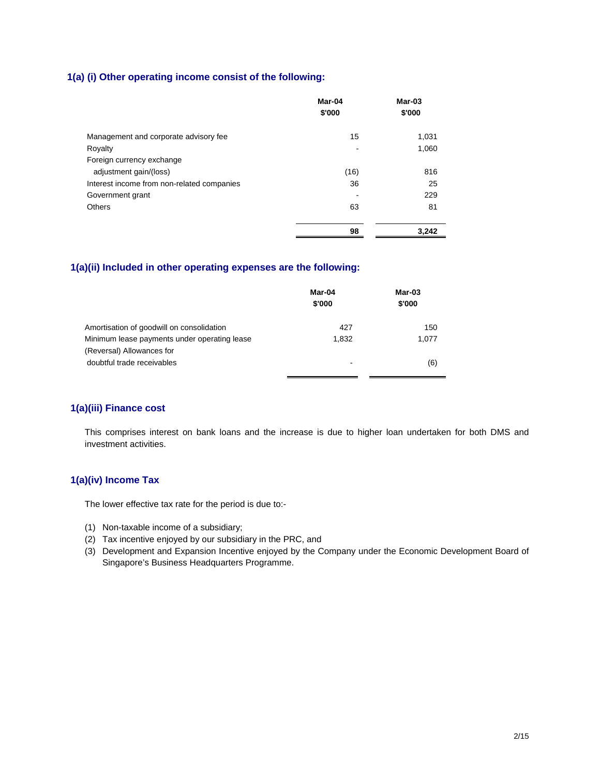# **1(a) (i) Other operating income consist of the following:**

|                                            | Mar-04<br>\$'000 | Mar-03<br>\$'000 |
|--------------------------------------------|------------------|------------------|
| Management and corporate advisory fee      | 15               | 1,031            |
| Royalty                                    | ٠                | 1,060            |
| Foreign currency exchange                  |                  |                  |
| adjustment gain/(loss)                     | (16)             | 816              |
| Interest income from non-related companies | 36               | 25               |
| Government grant                           |                  | 229              |
| Others                                     | 63               | 81               |
|                                            | 98               | 3,242            |

# **1(a)(ii) Included in other operating expenses are the following:**

|                                              | Mar-04<br>\$'000 | Mar-03<br>\$'000 |  |
|----------------------------------------------|------------------|------------------|--|
|                                              |                  |                  |  |
| Amortisation of goodwill on consolidation    | 427              | 150              |  |
| Minimum lease payments under operating lease | 1,832            | 1.077            |  |
| (Reversal) Allowances for                    |                  |                  |  |
| doubtful trade receivables                   |                  | (6)              |  |
|                                              |                  |                  |  |

# **1(a)(iii) Finance cost**

This comprises interest on bank loans and the increase is due to higher loan undertaken for both DMS and investment activities.

# **1(a)(iv) Income Tax**

The lower effective tax rate for the period is due to:-

- (1) Non-taxable income of a subsidiary;
- (2) Tax incentive enjoyed by our subsidiary in the PRC, and
- (3) Development and Expansion Incentive enjoyed by the Company under the Economic Development Board of Singapore's Business Headquarters Programme.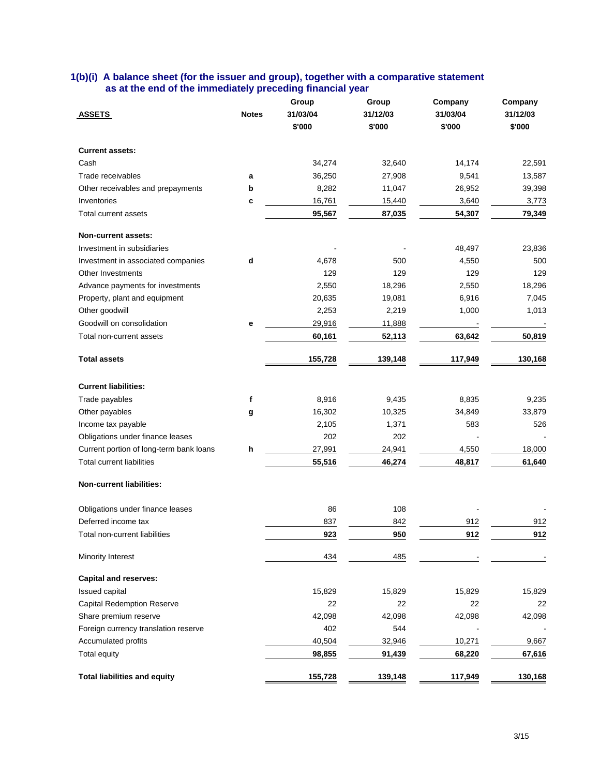| <b>ASSETS</b>                           | <b>Notes</b> | Group<br>31/03/04<br>\$'000 | Group<br>31/12/03<br>\$'000 | Company<br>31/03/04<br>\$'000 | Company<br>31/12/03<br>\$'000 |
|-----------------------------------------|--------------|-----------------------------|-----------------------------|-------------------------------|-------------------------------|
| <b>Current assets:</b>                  |              |                             |                             |                               |                               |
| Cash                                    |              | 34,274                      | 32,640                      | 14,174                        | 22,591                        |
| Trade receivables                       | a            | 36,250                      | 27,908                      | 9,541                         | 13,587                        |
| Other receivables and prepayments       | b            | 8,282                       | 11,047                      | 26,952                        | 39,398                        |
| Inventories                             | c            | 16,761                      | 15,440                      | 3,640                         | 3,773                         |
| <b>Total current assets</b>             |              | 95,567                      | 87,035                      | 54,307                        | 79,349                        |
| Non-current assets:                     |              |                             |                             |                               |                               |
| Investment in subsidiaries              |              |                             |                             | 48,497                        | 23,836                        |
| Investment in associated companies      | d            | 4,678                       | 500                         | 4,550                         | 500                           |
| Other Investments                       |              | 129                         | 129                         | 129                           | 129                           |
| Advance payments for investments        |              | 2,550                       | 18,296                      | 2,550                         | 18,296                        |
| Property, plant and equipment           |              | 20,635                      | 19,081                      | 6,916                         | 7,045                         |
| Other goodwill                          |              | 2,253                       | 2,219                       | 1,000                         | 1,013                         |
| Goodwill on consolidation               | е            | 29,916                      | 11,888                      |                               |                               |
| Total non-current assets                |              | 60,161                      | 52,113                      | 63,642                        | 50,819                        |
| <b>Total assets</b>                     |              | 155,728                     | 139,148                     | 117,949                       | 130,168                       |
| <b>Current liabilities:</b>             |              |                             |                             |                               |                               |
| Trade payables                          | f            | 8,916                       | 9,435                       | 8,835                         | 9,235                         |
| Other payables                          | g            | 16,302                      | 10,325                      | 34,849                        | 33,879                        |
| Income tax payable                      |              | 2,105                       | 1,371                       | 583                           | 526                           |
| Obligations under finance leases        |              | 202                         | 202                         |                               |                               |
| Current portion of long-term bank loans | h            | 27,991                      | 24,941                      | 4,550                         | 18,000                        |
| <b>Total current liabilities</b>        |              | 55,516                      | 46,274                      | 48,817                        | 61,640                        |
| <b>Non-current liabilities:</b>         |              |                             |                             |                               |                               |
| Obligations under finance leases        |              | 86                          | 108                         |                               |                               |
| Deferred income tax                     |              | 837                         | 842                         | 912                           | 912                           |
| Total non-current liabilities           |              | 923                         | 950                         | 912                           | 912                           |
| <b>Minority Interest</b>                |              | 434                         | 485                         |                               |                               |
| <b>Capital and reserves:</b>            |              |                             |                             |                               |                               |
| Issued capital                          |              | 15,829                      | 15,829                      | 15,829                        | 15,829                        |
| <b>Capital Redemption Reserve</b>       |              | 22                          | 22                          | 22                            | 22                            |
| Share premium reserve                   |              | 42,098                      | 42,098                      | 42,098                        | 42,098                        |
| Foreign currency translation reserve    |              | 402                         | 544                         |                               |                               |
| Accumulated profits                     |              | 40,504                      | 32,946                      | 10,271                        | 9,667                         |
| Total equity                            |              | 98,855                      | 91,439                      | 68,220                        | 67,616                        |
| <b>Total liabilities and equity</b>     |              | 155,728                     | 139,148                     | 117,949                       | 130,168                       |

# **1(b)(i) A balance sheet (for the issuer and group), together with a comparative statement as at the end of the immediately preceding financial year**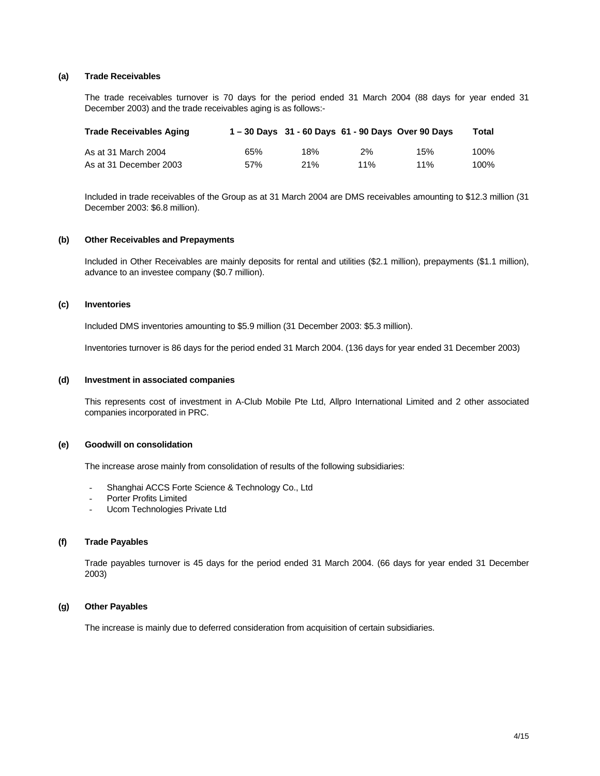## **(a) Trade Receivables**

The trade receivables turnover is 70 days for the period ended 31 March 2004 (88 days for year ended 31 December 2003) and the trade receivables aging is as follows:-

| <b>Trade Receivables Aging</b> |     |     |     | $1 - 30$ Days $31 - 60$ Days $61 - 90$ Days Over 90 Days | Total |
|--------------------------------|-----|-----|-----|----------------------------------------------------------|-------|
| As at 31 March 2004            | 65% | 18% | 2%  | 15%                                                      | 100%  |
| As at 31 December 2003         | 57% | 21% | 11% | 11%                                                      | 100%  |

Included in trade receivables of the Group as at 31 March 2004 are DMS receivables amounting to \$12.3 million (31 December 2003: \$6.8 million).

## **(b) Other Receivables and Prepayments**

Included in Other Receivables are mainly deposits for rental and utilities (\$2.1 million), prepayments (\$1.1 million), advance to an investee company (\$0.7 million).

## **(c) Inventories**

Included DMS inventories amounting to \$5.9 million (31 December 2003: \$5.3 million).

Inventories turnover is 86 days for the period ended 31 March 2004. (136 days for year ended 31 December 2003)

## **(d) Investment in associated companies**

This represents cost of investment in A-Club Mobile Pte Ltd, Allpro International Limited and 2 other associated companies incorporated in PRC.

#### **(e) Goodwill on consolidation**

The increase arose mainly from consolidation of results of the following subsidiaries:

- Shanghai ACCS Forte Science & Technology Co., Ltd
- Porter Profits Limited
- Ucom Technologies Private Ltd

## **(f) Trade Payables**

Trade payables turnover is 45 days for the period ended 31 March 2004. (66 days for year ended 31 December 2003)

#### **(g) Other Payables**

The increase is mainly due to deferred consideration from acquisition of certain subsidiaries.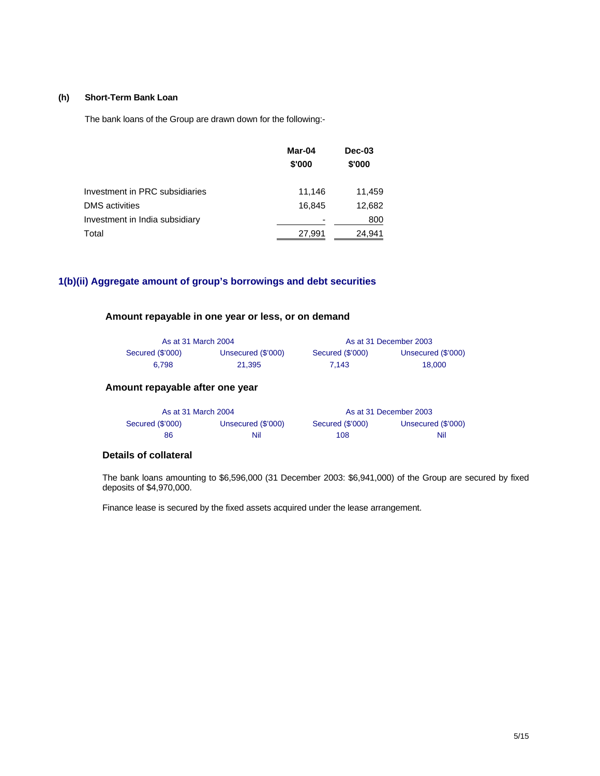# **(h) Short-Term Bank Loan**

The bank loans of the Group are drawn down for the following:-

|                                | Mar-04<br>\$'000 | Dec-03<br>\$'000 |
|--------------------------------|------------------|------------------|
| Investment in PRC subsidiaries | 11,146           | 11,459           |
| DMS activities                 | 16.845           | 12,682           |
| Investment in India subsidiary |                  | 800              |
| Total                          | 27,991           | 24,941           |

# **1(b)(ii) Aggregate amount of group's borrowings and debt securities**

# **Amount repayable in one year or less, or on demand**

| As at 31 March 2004 |                    |                  | As at 31 December 2003 |
|---------------------|--------------------|------------------|------------------------|
| Secured (\$'000)    | Unsecured (\$'000) | Secured (\$'000) | Unsecured (\$'000)     |
| 6.798               | 21.395             | 7.143            | 18,000                 |

# **Amount repayable after one year**

| As at 31 March 2004 |                    |                  | As at 31 December 2003 |
|---------------------|--------------------|------------------|------------------------|
| Secured (\$'000)    | Unsecured (\$'000) | Secured (\$'000) | Unsecured (\$'000)     |
| 86                  | Nil                | 108              | Nil                    |

# **Details of collateral**

The bank loans amounting to \$6,596,000 (31 December 2003: \$6,941,000) of the Group are secured by fixed deposits of \$4,970,000.

Finance lease is secured by the fixed assets acquired under the lease arrangement.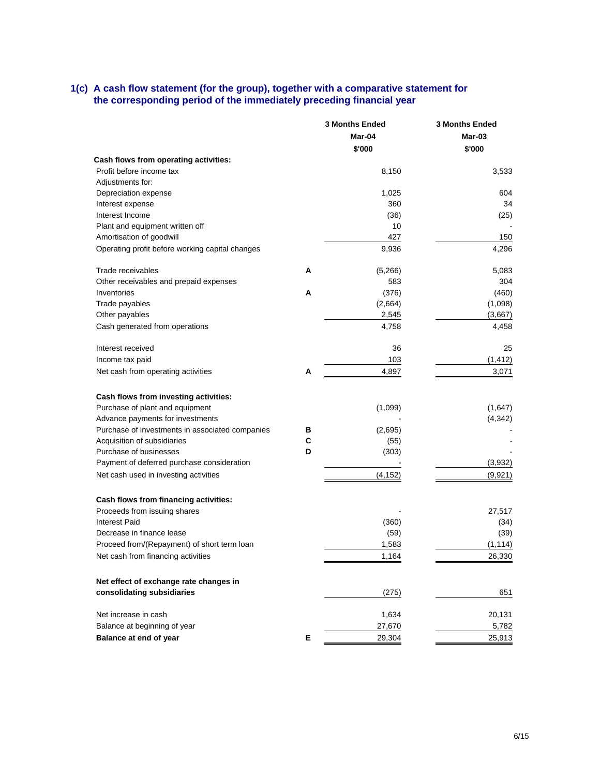# **1(c) A cash flow statement (for the group), together with a comparative statement for the corresponding period of the immediately preceding financial year**

|                                                 |   | <b>3 Months Ended</b> | <b>3 Months Ended</b> |  |
|-------------------------------------------------|---|-----------------------|-----------------------|--|
|                                                 |   | Mar-04                | Mar-03                |  |
|                                                 |   | \$'000                | \$'000                |  |
| Cash flows from operating activities:           |   |                       |                       |  |
| Profit before income tax                        |   | 8,150                 | 3,533                 |  |
| Adjustments for:                                |   |                       |                       |  |
| Depreciation expense                            |   | 1,025                 | 604                   |  |
| Interest expense                                |   | 360                   | 34                    |  |
| Interest Income                                 |   | (36)                  | (25)                  |  |
| Plant and equipment written off                 |   | 10                    |                       |  |
| Amortisation of goodwill                        |   | 427                   | 150                   |  |
| Operating profit before working capital changes |   | 9,936                 | 4,296                 |  |
| Trade receivables                               | A | (5,266)               | 5,083                 |  |
| Other receivables and prepaid expenses          |   | 583                   | 304                   |  |
| Inventories                                     | А | (376)                 | (460)                 |  |
| Trade payables                                  |   | (2,664)               | (1,098)               |  |
| Other payables                                  |   | 2,545                 | (3,667)               |  |
| Cash generated from operations                  |   | 4,758                 | 4,458                 |  |
| Interest received                               |   | 36                    | 25                    |  |
| Income tax paid                                 |   | 103                   | (1, 412)              |  |
| Net cash from operating activities              | Α | 4,897                 | 3,071                 |  |
| Cash flows from investing activities:           |   |                       |                       |  |
| Purchase of plant and equipment                 |   | (1,099)               | (1,647)               |  |
| Advance payments for investments                |   |                       | (4, 342)              |  |
| Purchase of investments in associated companies | в | (2,695)               |                       |  |
| Acquisition of subsidiaries                     | C | (55)                  |                       |  |
| Purchase of businesses                          | D | (303)                 |                       |  |
| Payment of deferred purchase consideration      |   |                       | (3,932)               |  |
| Net cash used in investing activities           |   | (4, 152)              | (9,921)               |  |
| Cash flows from financing activities:           |   |                       |                       |  |
| Proceeds from issuing shares                    |   |                       | 27,517                |  |
| <b>Interest Paid</b>                            |   | (360)                 | (34)                  |  |
| Decrease in finance lease                       |   | (59)                  | (39)                  |  |
| Proceed from/(Repayment) of short term loan     |   | 1,583                 | (1, 114)              |  |
|                                                 |   |                       |                       |  |
| Net cash from financing activities              |   | 1,164                 | 26,330                |  |
| Net effect of exchange rate changes in          |   |                       |                       |  |
| consolidating subsidiaries                      |   | (275)                 | 651                   |  |
| Net increase in cash                            |   | 1,634                 | 20,131                |  |
| Balance at beginning of year                    |   | 27,670                | 5,782                 |  |
| Balance at end of year                          | Е | 29,304                | 25,913                |  |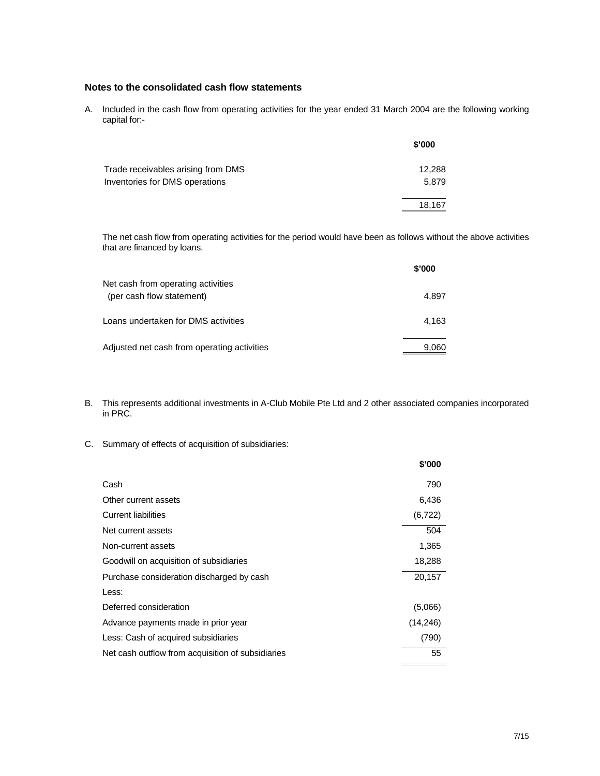# **Notes to the consolidated cash flow statements**

A. Included in the cash flow from operating activities for the year ended 31 March 2004 are the following working capital for:-

|                                    | \$'000 |
|------------------------------------|--------|
| Trade receivables arising from DMS | 12,288 |
| Inventories for DMS operations     | 5.879  |
|                                    | 18,167 |

The net cash flow from operating activities for the period would have been as follows without the above activities that are financed by loans.

|                                                                 | \$'000 |
|-----------------------------------------------------------------|--------|
| Net cash from operating activities<br>(per cash flow statement) | 4.897  |
| Loans undertaken for DMS activities                             | 4.163  |
| Adjusted net cash from operating activities                     | 9,060  |

- B. This represents additional investments in A-Club Mobile Pte Ltd and 2 other associated companies incorporated in PRC.
- C. Summary of effects of acquisition of subsidiaries:

|                                                   | \$'000   |
|---------------------------------------------------|----------|
| Cash                                              | 790      |
| Other current assets                              | 6,436    |
| <b>Current liabilities</b>                        | (6, 722) |
| Net current assets                                | 504      |
| Non-current assets                                | 1,365    |
| Goodwill on acquisition of subsidiaries           | 18,288   |
| Purchase consideration discharged by cash         | 20,157   |
| Less:                                             |          |
| Deferred consideration                            | (5,066)  |
| Advance payments made in prior year               | (14,246) |
| Less: Cash of acquired subsidiaries               | (790)    |
| Net cash outflow from acquisition of subsidiaries | 55       |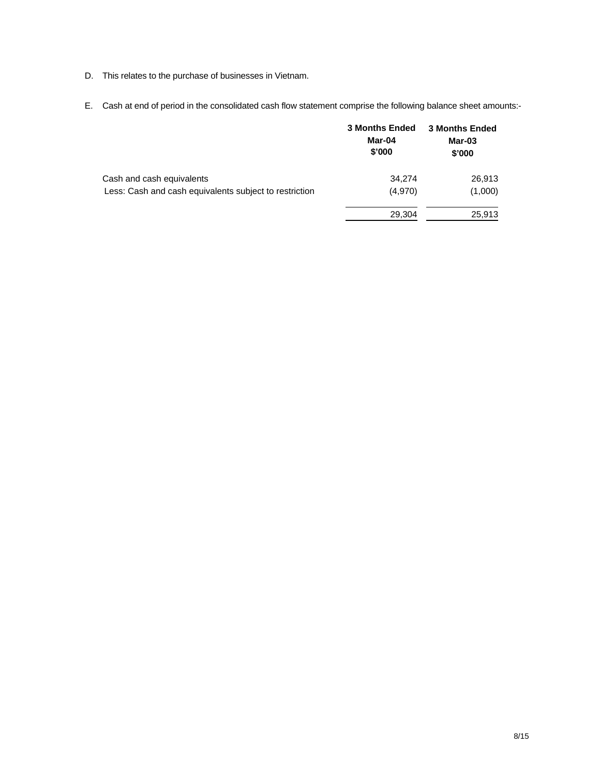- D. This relates to the purchase of businesses in Vietnam.
- E. Cash at end of period in the consolidated cash flow statement comprise the following balance sheet amounts:-

|                                                        | <b>3 Months Ended</b><br>Mar-04<br>\$'000 | <b>3 Months Ended</b><br>Mar-03<br>\$'000 |
|--------------------------------------------------------|-------------------------------------------|-------------------------------------------|
| Cash and cash equivalents                              | 34,274                                    | 26,913                                    |
| Less: Cash and cash equivalents subject to restriction | (4,970)                                   | (1,000)                                   |
|                                                        | 29,304                                    | 25,913                                    |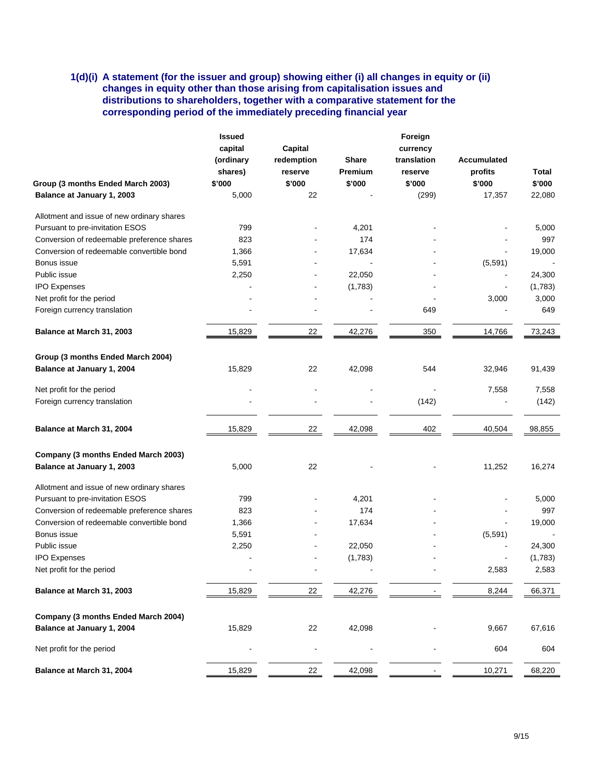# **1(d)(i) A statement (for the issuer and group) showing either (i) all changes in equity or (ii) changes in equity other than those arising from capitalisation issues and distributions to shareholders, together with a comparative statement for the corresponding period of the immediately preceding financial year**

|                                            | <b>Issued</b>                                 |                          |              | Foreign     |             |         |
|--------------------------------------------|-----------------------------------------------|--------------------------|--------------|-------------|-------------|---------|
|                                            | capital<br>Capital<br>(ordinary<br>redemption |                          | currency     |             |             |         |
|                                            |                                               |                          | <b>Share</b> | translation | Accumulated |         |
|                                            | shares)                                       | reserve                  | Premium      | reserve     | profits     | Total   |
| Group (3 months Ended March 2003)          | \$'000                                        | \$'000                   | \$'000       | \$'000      | \$'000      | \$'000  |
| Balance at January 1, 2003                 | 5,000                                         | 22                       |              | (299)       | 17,357      | 22,080  |
| Allotment and issue of new ordinary shares |                                               |                          |              |             |             |         |
| Pursuant to pre-invitation ESOS            | 799                                           |                          | 4,201        |             |             | 5,000   |
| Conversion of redeemable preference shares | 823                                           |                          | 174          |             |             | 997     |
| Conversion of redeemable convertible bond  | 1,366                                         |                          | 17,634       |             |             | 19,000  |
| Bonus issue                                | 5,591                                         |                          |              |             | (5,591)     |         |
| Public issue                               | 2,250                                         |                          | 22,050       |             |             | 24,300  |
| <b>IPO Expenses</b>                        |                                               |                          | (1,783)      |             |             | (1,783) |
| Net profit for the period                  |                                               |                          |              |             | 3,000       | 3,000   |
| Foreign currency translation               |                                               |                          |              | 649         |             | 649     |
| Balance at March 31, 2003                  | 15,829                                        | 22                       | 42,276       | 350         | 14,766      | 73,243  |
| Group (3 months Ended March 2004)          |                                               |                          |              |             |             |         |
| Balance at January 1, 2004                 | 15,829                                        | 22                       | 42,098       | 544         | 32,946      | 91,439  |
| Net profit for the period                  |                                               |                          |              |             | 7,558       | 7,558   |
| Foreign currency translation               |                                               |                          |              | (142)       |             | (142)   |
| Balance at March 31, 2004                  | 15,829                                        | 22                       | 42,098       | 402         | 40,504      | 98,855  |
| Company (3 months Ended March 2003)        |                                               |                          |              |             |             |         |
| Balance at January 1, 2003                 | 5,000                                         | 22                       |              |             | 11,252      | 16,274  |
| Allotment and issue of new ordinary shares |                                               |                          |              |             |             |         |
| Pursuant to pre-invitation ESOS            | 799                                           |                          | 4,201        |             |             | 5,000   |
| Conversion of redeemable preference shares | 823                                           |                          | 174          |             |             | 997     |
| Conversion of redeemable convertible bond  | 1,366                                         | $\blacksquare$           | 17,634       |             |             | 19,000  |
| Bonus issue                                | 5,591                                         |                          |              |             | (5, 591)    |         |
| Public issue                               | 2,250                                         |                          | 22,050       |             |             | 24,300  |
| <b>IPO Expenses</b>                        |                                               |                          | (1,783)      |             |             | (1,783) |
| Net profit for the period                  |                                               |                          |              |             | 2,583       | 2,583   |
| Balance at March 31, 2003                  | 15,829                                        | $\frac{22}{ }$           | 42,276       |             | 8,244       | 66,371  |
| Company (3 months Ended March 2004)        |                                               |                          |              |             |             |         |
| Balance at January 1, 2004                 | 15,829                                        | 22                       | 42,098       |             | 9,667       | 67,616  |
| Net profit for the period                  |                                               | $\overline{\phantom{a}}$ |              |             | 604         | 604     |
| Balance at March 31, 2004                  | 15,829                                        | 22                       | 42,098       |             | 10,271      | 68,220  |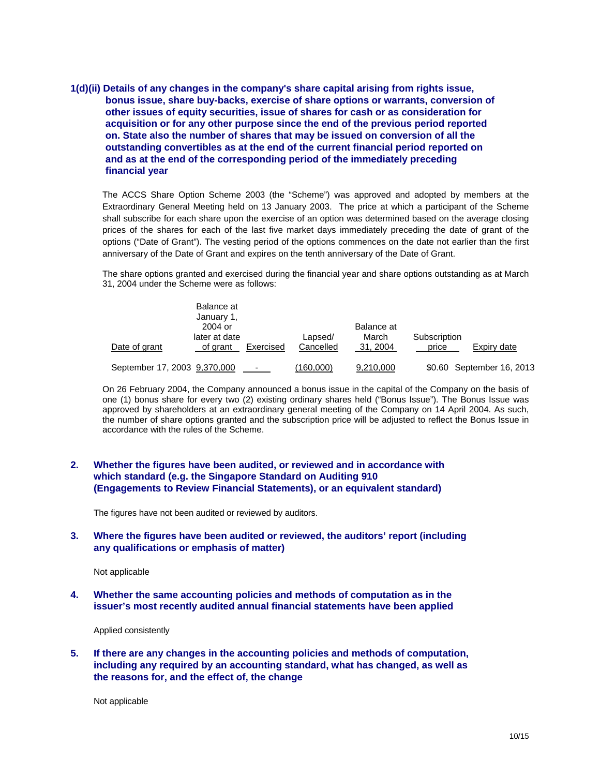**1(d)(ii) Details of any changes in the company's share capital arising from rights issue, bonus issue, share buy-backs, exercise of share options or warrants, conversion of other issues of equity securities, issue of shares for cash or as consideration for acquisition or for any other purpose since the end of the previous period reported on. State also the number of shares that may be issued on conversion of all the outstanding convertibles as at the end of the current financial period reported on and as at the end of the corresponding period of the immediately preceding financial year** 

The ACCS Share Option Scheme 2003 (the "Scheme") was approved and adopted by members at the Extraordinary General Meeting held on 13 January 2003. The price at which a participant of the Scheme shall subscribe for each share upon the exercise of an option was determined based on the average closing prices of the shares for each of the last five market days immediately preceding the date of grant of the options ("Date of Grant"). The vesting period of the options commences on the date not earlier than the first anniversary of the Date of Grant and expires on the tenth anniversary of the Date of Grant.

The share options granted and exercised during the financial year and share options outstanding as at March 31, 2004 under the Scheme were as follows:

|               | Balance at<br>January 1,<br>2004 or |                          |                      | Balance at        |                       |                           |
|---------------|-------------------------------------|--------------------------|----------------------|-------------------|-----------------------|---------------------------|
| Date of grant | later at date<br>of grant           | Exercised                | Lapsed/<br>Cancelled | March<br>31, 2004 | Subscription<br>price | Expiry date               |
|               | September 17, 2003 9,370,000        | <b>Contract Contract</b> | (160,000)            | 9,210,000         |                       | \$0.60 September 16, 2013 |

On 26 February 2004, the Company announced a bonus issue in the capital of the Company on the basis of one (1) bonus share for every two (2) existing ordinary shares held ("Bonus Issue"). The Bonus Issue was approved by shareholders at an extraordinary general meeting of the Company on 14 April 2004. As such, the number of share options granted and the subscription price will be adjusted to reflect the Bonus Issue in accordance with the rules of the Scheme.

# **2. Whether the figures have been audited, or reviewed and in accordance with which standard (e.g. the Singapore Standard on Auditing 910 (Engagements to Review Financial Statements), or an equivalent standard)**

The figures have not been audited or reviewed by auditors.

# **3. Where the figures have been audited or reviewed, the auditors' report (including any qualifications or emphasis of matter)**

Not applicable

**4. Whether the same accounting policies and methods of computation as in the issuer's most recently audited annual financial statements have been applied** 

Applied consistently

**5. If there are any changes in the accounting policies and methods of computation, including any required by an accounting standard, what has changed, as well as the reasons for, and the effect of, the change** 

Not applicable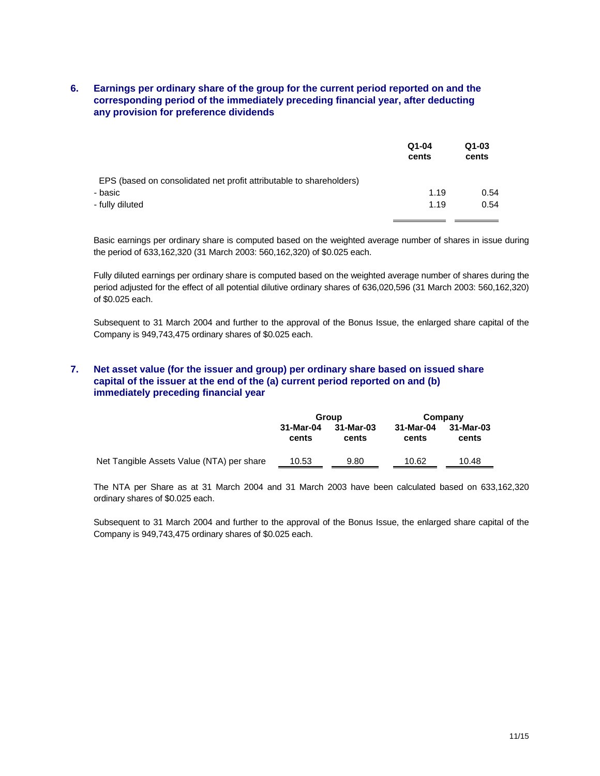# **6. Earnings per ordinary share of the group for the current period reported on and the corresponding period of the immediately preceding financial year, after deducting any provision for preference dividends**

|                                                                     | $Q1 - 04$<br>cents | $Q1-03$<br>cents |
|---------------------------------------------------------------------|--------------------|------------------|
| EPS (based on consolidated net profit attributable to shareholders) |                    |                  |
| - basic                                                             | 1.19               | 0.54             |
| - fully diluted                                                     | 1.19               | 0.54             |
|                                                                     |                    |                  |

Basic earnings per ordinary share is computed based on the weighted average number of shares in issue during the period of 633,162,320 (31 March 2003: 560,162,320) of \$0.025 each.

Fully diluted earnings per ordinary share is computed based on the weighted average number of shares during the period adjusted for the effect of all potential dilutive ordinary shares of 636,020,596 (31 March 2003: 560,162,320) of \$0.025 each.

Subsequent to 31 March 2004 and further to the approval of the Bonus Issue, the enlarged share capital of the Company is 949,743,475 ordinary shares of \$0.025 each.

# **7. Net asset value (for the issuer and group) per ordinary share based on issued share capital of the issuer at the end of the (a) current period reported on and (b) immediately preceding financial year**

|                                           | Group              |                    | Company            |                    |
|-------------------------------------------|--------------------|--------------------|--------------------|--------------------|
|                                           | 31-Mar-04<br>cents | 31-Mar-03<br>cents | 31-Mar-04<br>cents | 31-Mar-03<br>cents |
| Net Tangible Assets Value (NTA) per share | 10.53              | 9.80               | 10.62              | 10.48              |

The NTA per Share as at 31 March 2004 and 31 March 2003 have been calculated based on 633,162,320 ordinary shares of \$0.025 each.

Subsequent to 31 March 2004 and further to the approval of the Bonus Issue, the enlarged share capital of the Company is 949,743,475 ordinary shares of \$0.025 each.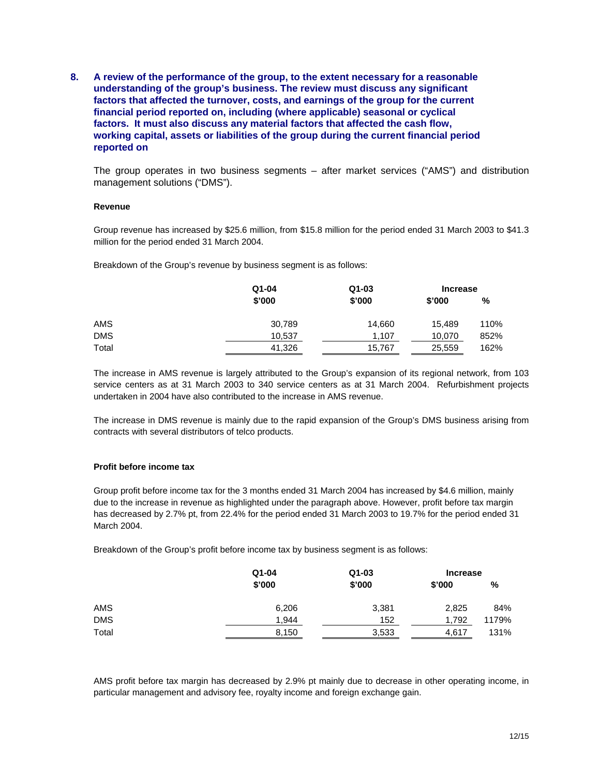**8. A review of the performance of the group, to the extent necessary for a reasonable understanding of the group's business. The review must discuss any significant factors that affected the turnover, costs, and earnings of the group for the current financial period reported on, including (where applicable) seasonal or cyclical factors. It must also discuss any material factors that affected the cash flow, working capital, assets or liabilities of the group during the current financial period reported on** 

The group operates in two business segments – after market services ("AMS") and distribution management solutions ("DMS").

## **Revenue**

Group revenue has increased by \$25.6 million, from \$15.8 million for the period ended 31 March 2003 to \$41.3 million for the period ended 31 March 2004.

Breakdown of the Group's revenue by business segment is as follows:

|            | $Q1 - 04$ | Q1-03  | <b>Increase</b> |      |
|------------|-----------|--------|-----------------|------|
|            | \$'000    | \$'000 | \$'000          | %    |
| AMS        | 30,789    | 14,660 | 15.489          | 110% |
| <b>DMS</b> | 10,537    | 1,107  | 10,070          | 852% |
| Total      | 41,326    | 15,767 | 25,559          | 162% |

The increase in AMS revenue is largely attributed to the Group's expansion of its regional network, from 103 service centers as at 31 March 2003 to 340 service centers as at 31 March 2004. Refurbishment projects undertaken in 2004 have also contributed to the increase in AMS revenue.

The increase in DMS revenue is mainly due to the rapid expansion of the Group's DMS business arising from contracts with several distributors of telco products.

## **Profit before income tax**

Group profit before income tax for the 3 months ended 31 March 2004 has increased by \$4.6 million, mainly due to the increase in revenue as highlighted under the paragraph above. However, profit before tax margin has decreased by 2.7% pt, from 22.4% for the period ended 31 March 2003 to 19.7% for the period ended 31 March 2004.

Breakdown of the Group's profit before income tax by business segment is as follows:

|            | $Q1 - 04$ | Q1-03  | <b>Increase</b> |       |
|------------|-----------|--------|-----------------|-------|
|            | \$'000    | \$'000 | \$'000          | %     |
| AMS        | 6,206     | 3,381  | 2,825           | 84%   |
| <b>DMS</b> | 1.944     | 152    | 1,792           | 1179% |
| Total      | 8,150     | 3,533  | 4.617           | 131%  |

AMS profit before tax margin has decreased by 2.9% pt mainly due to decrease in other operating income, in particular management and advisory fee, royalty income and foreign exchange gain.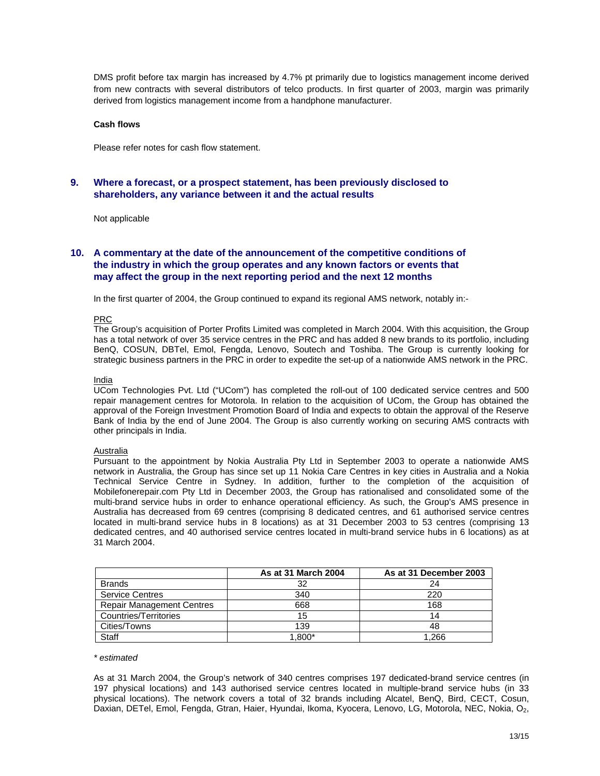DMS profit before tax margin has increased by 4.7% pt primarily due to logistics management income derived from new contracts with several distributors of telco products. In first quarter of 2003, margin was primarily derived from logistics management income from a handphone manufacturer.

## **Cash flows**

Please refer notes for cash flow statement.

# **9. Where a forecast, or a prospect statement, has been previously disclosed to shareholders, any variance between it and the actual results**

Not applicable

# **10. A commentary at the date of the announcement of the competitive conditions of the industry in which the group operates and any known factors or events that may affect the group in the next reporting period and the next 12 months**

In the first quarter of 2004, the Group continued to expand its regional AMS network, notably in:-

## PRC

The Group's acquisition of Porter Profits Limited was completed in March 2004. With this acquisition, the Group has a total network of over 35 service centres in the PRC and has added 8 new brands to its portfolio, including BenQ, COSUN, DBTel, Emol, Fengda, Lenovo, Soutech and Toshiba. The Group is currently looking for strategic business partners in the PRC in order to expedite the set-up of a nationwide AMS network in the PRC.

## India

UCom Technologies Pvt. Ltd ("UCom") has completed the roll-out of 100 dedicated service centres and 500 repair management centres for Motorola. In relation to the acquisition of UCom, the Group has obtained the approval of the Foreign Investment Promotion Board of India and expects to obtain the approval of the Reserve Bank of India by the end of June 2004. The Group is also currently working on securing AMS contracts with other principals in India.

## **Australia**

Pursuant to the appointment by Nokia Australia Pty Ltd in September 2003 to operate a nationwide AMS network in Australia, the Group has since set up 11 Nokia Care Centres in key cities in Australia and a Nokia Technical Service Centre in Sydney. In addition, further to the completion of the acquisition of Mobilefonerepair.com Pty Ltd in December 2003, the Group has rationalised and consolidated some of the multi-brand service hubs in order to enhance operational efficiency. As such, the Group's AMS presence in Australia has decreased from 69 centres (comprising 8 dedicated centres, and 61 authorised service centres located in multi-brand service hubs in 8 locations) as at 31 December 2003 to 53 centres (comprising 13 dedicated centres, and 40 authorised service centres located in multi-brand service hubs in 6 locations) as at 31 March 2004.

|                                  | As at 31 March 2004 | As at 31 December 2003 |
|----------------------------------|---------------------|------------------------|
| <b>Brands</b>                    | 32                  | 24                     |
| <b>Service Centres</b>           | 340                 | 220                    |
| <b>Repair Management Centres</b> | 668                 | 168                    |
| Countries/Territories            | 15                  | 14                     |
| Cities/Towns                     | 139                 | 48                     |
| <b>Staff</b>                     | 1.800*              | 1.266                  |

#### *\* estimated*

As at 31 March 2004, the Group's network of 340 centres comprises 197 dedicated-brand service centres (in 197 physical locations) and 143 authorised service centres located in multiple-brand service hubs (in 33 physical locations). The network covers a total of 32 brands including Alcatel, BenQ, Bird, CECT, Cosun, Daxian, DETel, Emol, Fengda, Gtran, Haier, Hyundai, Ikoma, Kyocera, Lenovo, LG, Motorola, NEC, Nokia, O<sub>2</sub>,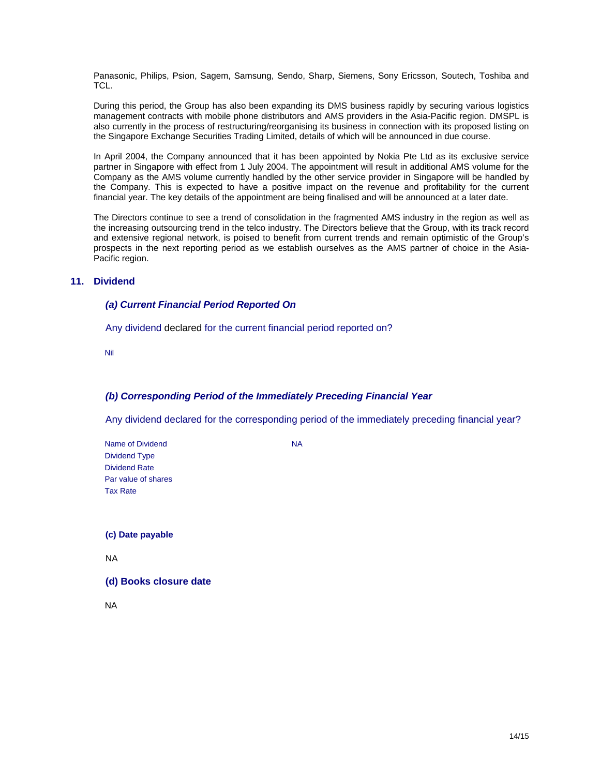Panasonic, Philips, Psion, Sagem, Samsung, Sendo, Sharp, Siemens, Sony Ericsson, Soutech, Toshiba and TCL.

During this period, the Group has also been expanding its DMS business rapidly by securing various logistics management contracts with mobile phone distributors and AMS providers in the Asia-Pacific region. DMSPL is also currently in the process of restructuring/reorganising its business in connection with its proposed listing on the Singapore Exchange Securities Trading Limited, details of which will be announced in due course.

In April 2004, the Company announced that it has been appointed by Nokia Pte Ltd as its exclusive service partner in Singapore with effect from 1 July 2004. The appointment will result in additional AMS volume for the Company as the AMS volume currently handled by the other service provider in Singapore will be handled by the Company. This is expected to have a positive impact on the revenue and profitability for the current financial year. The key details of the appointment are being finalised and will be announced at a later date.

The Directors continue to see a trend of consolidation in the fragmented AMS industry in the region as well as the increasing outsourcing trend in the telco industry. The Directors believe that the Group, with its track record and extensive regional network, is poised to benefit from current trends and remain optimistic of the Group's prospects in the next reporting period as we establish ourselves as the AMS partner of choice in the Asia-Pacific region.

# **11. Dividend**

## *(a) Current Financial Period Reported On*

Any dividend declared for the current financial period reported on?

Nil

# *(b) Corresponding Period of the Immediately Preceding Financial Year*

Any dividend declared for the corresponding period of the immediately preceding financial year?

Name of Dividend NA Dividend Type Dividend Rate Par value of shares Tax Rate

**(c) Date payable** 

NA

**(d) Books closure date** 

NA